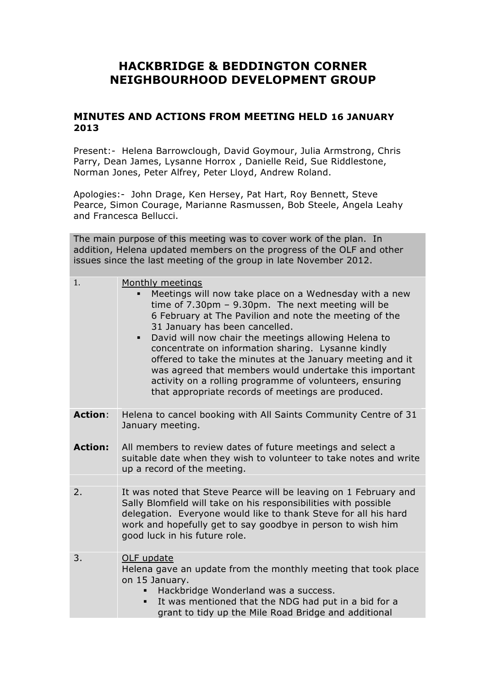## **HACKBRIDGE & BEDDINGTON CORNER NEIGHBOURHOOD DEVELOPMENT GROUP**

## **MINUTES AND ACTIONS FROM MEETING HELD 16 JANUARY 2013**

Present:- Helena Barrowclough, David Goymour, Julia Armstrong, Chris Parry, Dean James, Lysanne Horrox , Danielle Reid, Sue Riddlestone, Norman Jones, Peter Alfrey, Peter Lloyd, Andrew Roland.

Apologies:- John Drage, Ken Hersey, Pat Hart, Roy Bennett, Steve Pearce, Simon Courage, Marianne Rasmussen, Bob Steele, Angela Leahy and Francesca Bellucci.

The main purpose of this meeting was to cover work of the plan. In addition, Helena updated members on the progress of the OLF and other issues since the last meeting of the group in late November 2012.

| 1.             | Monthly meetings                                                                                                                                                                                                                                                                                                                                        |
|----------------|---------------------------------------------------------------------------------------------------------------------------------------------------------------------------------------------------------------------------------------------------------------------------------------------------------------------------------------------------------|
|                | Meetings will now take place on a Wednesday with a new<br>time of $7.30 \text{pm} - 9.30 \text{pm}$ . The next meeting will be                                                                                                                                                                                                                          |
|                | 6 February at The Pavilion and note the meeting of the<br>31 January has been cancelled.                                                                                                                                                                                                                                                                |
|                | David will now chair the meetings allowing Helena to<br>٠<br>concentrate on information sharing. Lysanne kindly<br>offered to take the minutes at the January meeting and it<br>was agreed that members would undertake this important<br>activity on a rolling programme of volunteers, ensuring<br>that appropriate records of meetings are produced. |
| <b>Action:</b> | Helena to cancel booking with All Saints Community Centre of 31<br>January meeting.                                                                                                                                                                                                                                                                     |
| <b>Action:</b> | All members to review dates of future meetings and select a<br>suitable date when they wish to volunteer to take notes and write<br>up a record of the meeting.                                                                                                                                                                                         |
|                |                                                                                                                                                                                                                                                                                                                                                         |
| 2.             | It was noted that Steve Pearce will be leaving on 1 February and<br>Sally Blomfield will take on his responsibilities with possible<br>delegation. Everyone would like to thank Steve for all his hard<br>work and hopefully get to say goodbye in person to wish him<br>good luck in his future role.                                                  |
| 3.             | OLF update<br>Helena gave an update from the monthly meeting that took place<br>on 15 January.<br>Hackbridge Wonderland was a success.<br>It was mentioned that the NDG had put in a bid for a<br>grant to tidy up the Mile Road Bridge and additional                                                                                                  |
|                |                                                                                                                                                                                                                                                                                                                                                         |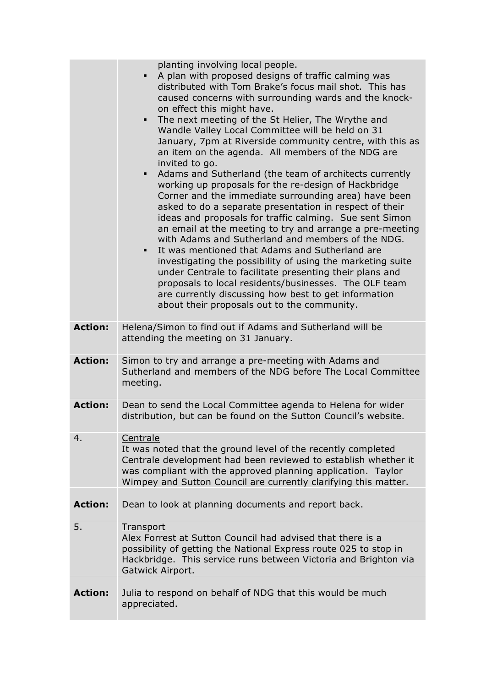|                | planting involving local people.<br>A plan with proposed designs of traffic calming was<br>٠<br>distributed with Tom Brake's focus mail shot. This has<br>caused concerns with surrounding wards and the knock-<br>on effect this might have.<br>The next meeting of the St Helier, The Wrythe and<br>$\blacksquare$<br>Wandle Valley Local Committee will be held on 31<br>January, 7pm at Riverside community centre, with this as<br>an item on the agenda. All members of the NDG are<br>invited to go.<br>Adams and Sutherland (the team of architects currently<br>٠<br>working up proposals for the re-design of Hackbridge<br>Corner and the immediate surrounding area) have been<br>asked to do a separate presentation in respect of their<br>ideas and proposals for traffic calming. Sue sent Simon<br>an email at the meeting to try and arrange a pre-meeting<br>with Adams and Sutherland and members of the NDG.<br>It was mentioned that Adams and Sutherland are<br>٠<br>investigating the possibility of using the marketing suite<br>under Centrale to facilitate presenting their plans and<br>proposals to local residents/businesses. The OLF team<br>are currently discussing how best to get information<br>about their proposals out to the community. |
|----------------|-----------------------------------------------------------------------------------------------------------------------------------------------------------------------------------------------------------------------------------------------------------------------------------------------------------------------------------------------------------------------------------------------------------------------------------------------------------------------------------------------------------------------------------------------------------------------------------------------------------------------------------------------------------------------------------------------------------------------------------------------------------------------------------------------------------------------------------------------------------------------------------------------------------------------------------------------------------------------------------------------------------------------------------------------------------------------------------------------------------------------------------------------------------------------------------------------------------------------------------------------------------------------------------|
| <b>Action:</b> | Helena/Simon to find out if Adams and Sutherland will be<br>attending the meeting on 31 January.                                                                                                                                                                                                                                                                                                                                                                                                                                                                                                                                                                                                                                                                                                                                                                                                                                                                                                                                                                                                                                                                                                                                                                                  |
| <b>Action:</b> | Simon to try and arrange a pre-meeting with Adams and<br>Sutherland and members of the NDG before The Local Committee<br>meeting.                                                                                                                                                                                                                                                                                                                                                                                                                                                                                                                                                                                                                                                                                                                                                                                                                                                                                                                                                                                                                                                                                                                                                 |
| <b>Action:</b> | Dean to send the Local Committee agenda to Helena for wider<br>distribution, but can be found on the Sutton Council's website.                                                                                                                                                                                                                                                                                                                                                                                                                                                                                                                                                                                                                                                                                                                                                                                                                                                                                                                                                                                                                                                                                                                                                    |
| 4.             | Centrale<br>It was noted that the ground level of the recently completed<br>Centrale development had been reviewed to establish whether it<br>was compliant with the approved planning application. Taylor<br>Wimpey and Sutton Council are currently clarifying this matter.                                                                                                                                                                                                                                                                                                                                                                                                                                                                                                                                                                                                                                                                                                                                                                                                                                                                                                                                                                                                     |
| <b>Action:</b> | Dean to look at planning documents and report back.                                                                                                                                                                                                                                                                                                                                                                                                                                                                                                                                                                                                                                                                                                                                                                                                                                                                                                                                                                                                                                                                                                                                                                                                                               |
| 5.             | <b>Transport</b><br>Alex Forrest at Sutton Council had advised that there is a<br>possibility of getting the National Express route 025 to stop in<br>Hackbridge. This service runs between Victoria and Brighton via<br>Gatwick Airport.                                                                                                                                                                                                                                                                                                                                                                                                                                                                                                                                                                                                                                                                                                                                                                                                                                                                                                                                                                                                                                         |
| <b>Action:</b> | Julia to respond on behalf of NDG that this would be much<br>appreciated.                                                                                                                                                                                                                                                                                                                                                                                                                                                                                                                                                                                                                                                                                                                                                                                                                                                                                                                                                                                                                                                                                                                                                                                                         |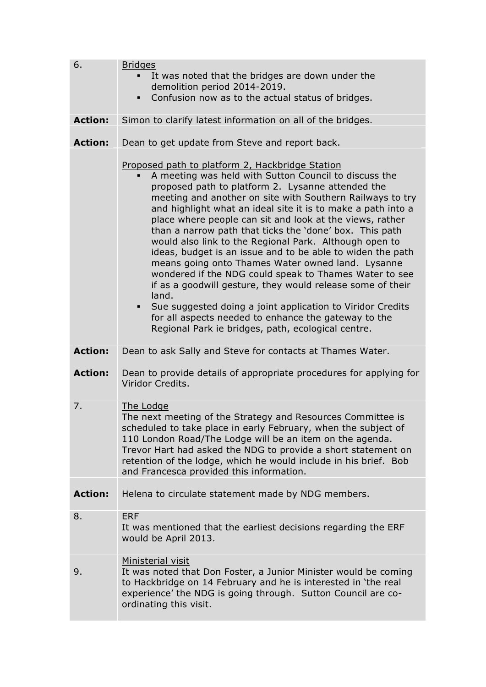| 6.             | <b>Bridges</b>                                                                                                                                                                                                                                                                                                                                                                                                                                                                                                                                                                                                                                                                                                                                                                                                                                                                                                   |
|----------------|------------------------------------------------------------------------------------------------------------------------------------------------------------------------------------------------------------------------------------------------------------------------------------------------------------------------------------------------------------------------------------------------------------------------------------------------------------------------------------------------------------------------------------------------------------------------------------------------------------------------------------------------------------------------------------------------------------------------------------------------------------------------------------------------------------------------------------------------------------------------------------------------------------------|
|                | It was noted that the bridges are down under the<br>$\blacksquare$                                                                                                                                                                                                                                                                                                                                                                                                                                                                                                                                                                                                                                                                                                                                                                                                                                               |
|                | demolition period 2014-2019.<br>Confusion now as to the actual status of bridges.<br>$\blacksquare$                                                                                                                                                                                                                                                                                                                                                                                                                                                                                                                                                                                                                                                                                                                                                                                                              |
|                |                                                                                                                                                                                                                                                                                                                                                                                                                                                                                                                                                                                                                                                                                                                                                                                                                                                                                                                  |
| <b>Action:</b> | Simon to clarify latest information on all of the bridges.                                                                                                                                                                                                                                                                                                                                                                                                                                                                                                                                                                                                                                                                                                                                                                                                                                                       |
|                |                                                                                                                                                                                                                                                                                                                                                                                                                                                                                                                                                                                                                                                                                                                                                                                                                                                                                                                  |
| <b>Action:</b> | Dean to get update from Steve and report back.                                                                                                                                                                                                                                                                                                                                                                                                                                                                                                                                                                                                                                                                                                                                                                                                                                                                   |
|                | Proposed path to platform 2, Hackbridge Station<br>A meeting was held with Sutton Council to discuss the<br>proposed path to platform 2. Lysanne attended the<br>meeting and another on site with Southern Railways to try<br>and highlight what an ideal site it is to make a path into a<br>place where people can sit and look at the views, rather<br>than a narrow path that ticks the 'done' box. This path<br>would also link to the Regional Park. Although open to<br>ideas, budget is an issue and to be able to widen the path<br>means going onto Thames Water owned land. Lysanne<br>wondered if the NDG could speak to Thames Water to see<br>if as a goodwill gesture, they would release some of their<br>land.<br>Sue suggested doing a joint application to Viridor Credits<br>٠<br>for all aspects needed to enhance the gateway to the<br>Regional Park ie bridges, path, ecological centre. |
| <b>Action:</b> | Dean to ask Sally and Steve for contacts at Thames Water.                                                                                                                                                                                                                                                                                                                                                                                                                                                                                                                                                                                                                                                                                                                                                                                                                                                        |
| <b>Action:</b> | Dean to provide details of appropriate procedures for applying for<br>Viridor Credits.                                                                                                                                                                                                                                                                                                                                                                                                                                                                                                                                                                                                                                                                                                                                                                                                                           |
| 7.             | The Lodge                                                                                                                                                                                                                                                                                                                                                                                                                                                                                                                                                                                                                                                                                                                                                                                                                                                                                                        |
|                | The next meeting of the Strategy and Resources Committee is<br>scheduled to take place in early February, when the subject of<br>110 London Road/The Lodge will be an item on the agenda.<br>Trevor Hart had asked the NDG to provide a short statement on<br>retention of the lodge, which he would include in his brief. Bob<br>and Francesca provided this information.                                                                                                                                                                                                                                                                                                                                                                                                                                                                                                                                       |
| <b>Action:</b> | Helena to circulate statement made by NDG members.                                                                                                                                                                                                                                                                                                                                                                                                                                                                                                                                                                                                                                                                                                                                                                                                                                                               |
| 8.             | <b>ERF</b><br>It was mentioned that the earliest decisions regarding the ERF<br>would be April 2013.                                                                                                                                                                                                                                                                                                                                                                                                                                                                                                                                                                                                                                                                                                                                                                                                             |
| 9.             | Ministerial visit<br>It was noted that Don Foster, a Junior Minister would be coming<br>to Hackbridge on 14 February and he is interested in 'the real<br>experience' the NDG is going through. Sutton Council are co-<br>ordinating this visit.                                                                                                                                                                                                                                                                                                                                                                                                                                                                                                                                                                                                                                                                 |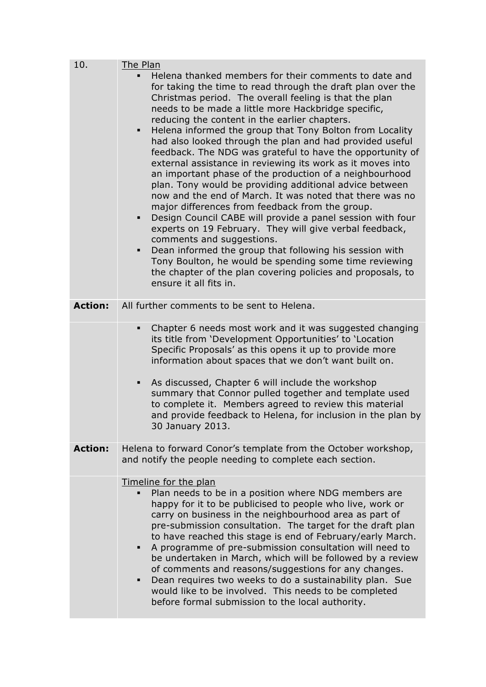| 10.            | The Plan                                                                                                                                                                                                                                                                                                                                                                                                                                                                                                                                                                                                                                                                                                                                                                                                                                                                                                                                                                                                                                                                                                                                                                       |
|----------------|--------------------------------------------------------------------------------------------------------------------------------------------------------------------------------------------------------------------------------------------------------------------------------------------------------------------------------------------------------------------------------------------------------------------------------------------------------------------------------------------------------------------------------------------------------------------------------------------------------------------------------------------------------------------------------------------------------------------------------------------------------------------------------------------------------------------------------------------------------------------------------------------------------------------------------------------------------------------------------------------------------------------------------------------------------------------------------------------------------------------------------------------------------------------------------|
|                | Helena thanked members for their comments to date and<br>٠<br>for taking the time to read through the draft plan over the<br>Christmas period. The overall feeling is that the plan<br>needs to be made a little more Hackbridge specific,<br>reducing the content in the earlier chapters.<br>Helena informed the group that Tony Bolton from Locality<br>$\blacksquare$<br>had also looked through the plan and had provided useful<br>feedback. The NDG was grateful to have the opportunity of<br>external assistance in reviewing its work as it moves into<br>an important phase of the production of a neighbourhood<br>plan. Tony would be providing additional advice between<br>now and the end of March. It was noted that there was no<br>major differences from feedback from the group.<br>Design Council CABE will provide a panel session with four<br>experts on 19 February. They will give verbal feedback,<br>comments and suggestions.<br>Dean informed the group that following his session with<br>п<br>Tony Boulton, he would be spending some time reviewing<br>the chapter of the plan covering policies and proposals, to<br>ensure it all fits in. |
| <b>Action:</b> | All further comments to be sent to Helena.                                                                                                                                                                                                                                                                                                                                                                                                                                                                                                                                                                                                                                                                                                                                                                                                                                                                                                                                                                                                                                                                                                                                     |
|                | Chapter 6 needs most work and it was suggested changing<br>٠<br>its title from 'Development Opportunities' to 'Location<br>Specific Proposals' as this opens it up to provide more<br>information about spaces that we don't want built on.<br>As discussed, Chapter 6 will include the workshop<br>٠<br>summary that Connor pulled together and template used<br>to complete it. Members agreed to review this material<br>and provide feedback to Helena, for inclusion in the plan by<br>30 January 2013.                                                                                                                                                                                                                                                                                                                                                                                                                                                                                                                                                                                                                                                                   |
| <b>Action:</b> | Helena to forward Conor's template from the October workshop,<br>and notify the people needing to complete each section.                                                                                                                                                                                                                                                                                                                                                                                                                                                                                                                                                                                                                                                                                                                                                                                                                                                                                                                                                                                                                                                       |
|                | Timeline for the plan<br>Plan needs to be in a position where NDG members are<br>happy for it to be publicised to people who live, work or<br>carry on business in the neighbourhood area as part of<br>pre-submission consultation. The target for the draft plan<br>to have reached this stage is end of February/early March.<br>A programme of pre-submission consultation will need to<br>٠<br>be undertaken in March, which will be followed by a review<br>of comments and reasons/suggestions for any changes.<br>Dean requires two weeks to do a sustainability plan. Sue<br>٠<br>would like to be involved. This needs to be completed<br>before formal submission to the local authority.                                                                                                                                                                                                                                                                                                                                                                                                                                                                           |